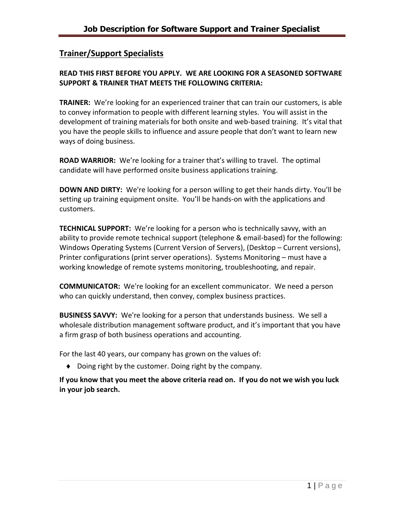# **Trainer/Support Specialists**

## **READ THIS FIRST BEFORE YOU APPLY. WE ARE LOOKING FOR A SEASONED SOFTWARE SUPPORT & TRAINER THAT MEETS THE FOLLOWING CRITERIA:**

**TRAINER:** We're looking for an experienced trainer that can train our customers, is able to convey information to people with different learning styles. You will assist in the development of training materials for both onsite and web-based training. It's vital that you have the people skills to influence and assure people that don't want to learn new ways of doing business.

**ROAD WARRIOR:** We're looking for a trainer that's willing to travel. The optimal candidate will have performed onsite business applications training.

**DOWN AND DIRTY:** We're looking for a person willing to get their hands dirty. You'll be setting up training equipment onsite. You'll be hands-on with the applications and customers.

**TECHNICAL SUPPORT:** We're looking for a person who is technically savvy, with an ability to provide remote technical support (telephone & email-based) for the following: Windows Operating Systems (Current Version of Servers), (Desktop – Current versions), Printer configurations (print server operations). Systems Monitoring – must have a working knowledge of remote systems monitoring, troubleshooting, and repair.

**COMMUNICATOR:** We're looking for an excellent communicator. We need a person who can quickly understand, then convey, complex business practices.

**BUSINESS SAVVY:** We're looking for a person that understands business. We sell a wholesale distribution management software product, and it's important that you have a firm grasp of both business operations and accounting.

For the last 40 years, our company has grown on the values of:

Doing right by the customer. Doing right by the company.

**If you know that you meet the above criteria read on. If you do not we wish you luck in your job search.**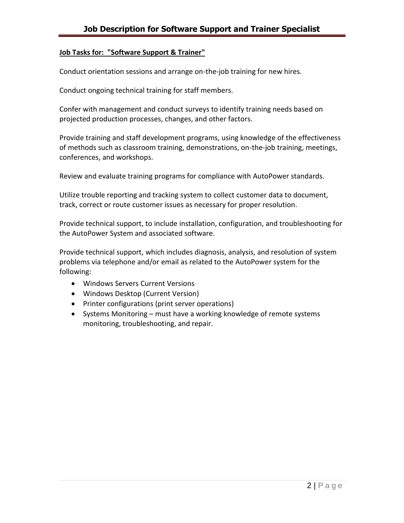#### **Job Tasks for: "Software Support & Trainer"**

Conduct orientation sessions and arrange on-the-job training for new hires.

Conduct ongoing technical training for staff members.

Confer with management and conduct surveys to identify training needs based on projected production processes, changes, and other factors.

Provide training and staff development programs, using knowledge of the effectiveness of methods such as classroom training, demonstrations, on-the-job training, meetings, conferences, and workshops.

Review and evaluate training programs for compliance with AutoPower standards.

Utilize trouble reporting and tracking system to collect customer data to document, track, correct or route customer issues as necessary for proper resolution.

Provide technical support, to include installation, configuration, and troubleshooting for the AutoPower System and associated software.

Provide technical support, which includes diagnosis, analysis, and resolution of system problems via telephone and/or email as related to the AutoPower system for the following:

- Windows Servers Current Versions
- Windows Desktop (Current Version)
- Printer configurations (print server operations)
- Systems Monitoring must have a working knowledge of remote systems monitoring, troubleshooting, and repair.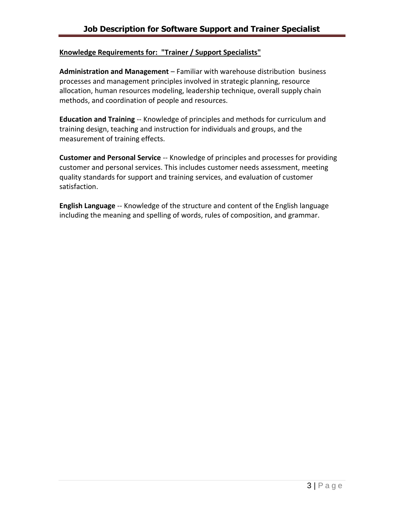#### **Knowledge Requirements for: "Trainer / Support Specialists"**

**Administration and Management** – Familiar with warehouse distribution business processes and management principles involved in strategic planning, resource allocation, human resources modeling, leadership technique, overall supply chain methods, and coordination of people and resources.

**Education and Training** -- Knowledge of principles and methods for curriculum and training design, teaching and instruction for individuals and groups, and the measurement of training effects.

**Customer and Personal Service** -- Knowledge of principles and processes for providing customer and personal services. This includes customer needs assessment, meeting quality standards for support and training services, and evaluation of customer satisfaction.

**English Language** -- Knowledge of the structure and content of the English language including the meaning and spelling of words, rules of composition, and grammar.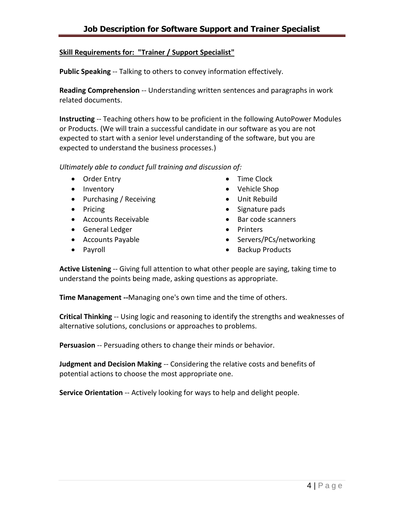## **Skill Requirements for: "Trainer / Support Specialist"**

**Public Speaking** -- Talking to others to convey information effectively.

**Reading Comprehension** -- Understanding written sentences and paragraphs in work related documents.

**Instructing** -- Teaching others how to be proficient in the following AutoPower Modules or Products. (We will train a successful candidate in our software as you are not expected to start with a senior level understanding of the software, but you are expected to understand the business processes.)

*Ultimately able to conduct full training and discussion of:*

- Order Entry
- Inventory
- Purchasing / Receiving
- Pricing
- Accounts Receivable
- General Ledger
- Accounts Payable
- Payroll
- Time Clock
- Vehicle Shop
- Unit Rebuild
- Signature pads
- Bar code scanners
- Printers
- Servers/PCs/networking
- Backup Products

**Active Listening** -- Giving full attention to what other people are saying, taking time to understand the points being made, asking questions as appropriate.

**Time Management --**Managing one's own time and the time of others.

**Critical Thinking** -- Using logic and reasoning to identify the strengths and weaknesses of alternative solutions, conclusions or approaches to problems.

**Persuasion** -- Persuading others to change their minds or behavior.

**Judgment and Decision Making** -- Considering the relative costs and benefits of potential actions to choose the most appropriate one.

**Service Orientation** -- Actively looking for ways to help and delight people.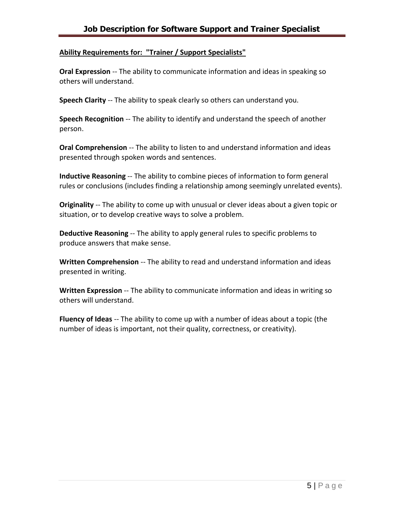## **Ability Requirements for: "Trainer / Support Specialists"**

**Oral Expression** -- The ability to communicate information and ideas in speaking so others will understand.

**Speech Clarity** -- The ability to speak clearly so others can understand you.

**Speech Recognition** -- The ability to identify and understand the speech of another person.

**Oral Comprehension** -- The ability to listen to and understand information and ideas presented through spoken words and sentences.

**Inductive Reasoning** -- The ability to combine pieces of information to form general rules or conclusions (includes finding a relationship among seemingly unrelated events).

**Originality** -- The ability to come up with unusual or clever ideas about a given topic or situation, or to develop creative ways to solve a problem.

**Deductive Reasoning** -- The ability to apply general rules to specific problems to produce answers that make sense.

**Written Comprehension** -- The ability to read and understand information and ideas presented in writing.

**Written Expression** -- The ability to communicate information and ideas in writing so others will understand.

**Fluency of Ideas** -- The ability to come up with a number of ideas about a topic (the number of ideas is important, not their quality, correctness, or creativity).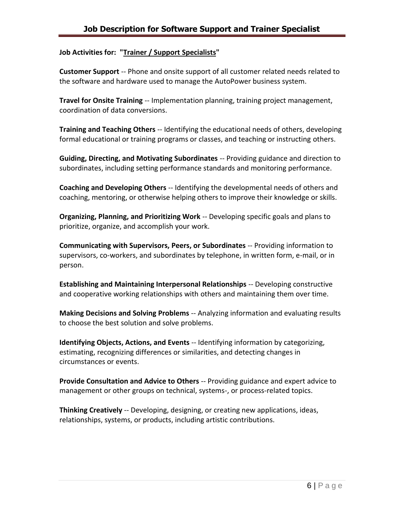## **Job Activities for: "Trainer / Support Specialists"**

**Customer Support** -- Phone and onsite support of all customer related needs related to the software and hardware used to manage the AutoPower business system.

**Travel for Onsite Training** -- Implementation planning, training project management, coordination of data conversions.

**Training and Teaching Others** -- Identifying the educational needs of others, developing formal educational or training programs or classes, and teaching or instructing others.

**Guiding, Directing, and Motivating Subordinates** -- Providing guidance and direction to subordinates, including setting performance standards and monitoring performance.

**Coaching and Developing Others** -- Identifying the developmental needs of others and coaching, mentoring, or otherwise helping others to improve their knowledge or skills.

**Organizing, Planning, and Prioritizing Work** -- Developing specific goals and plans to prioritize, organize, and accomplish your work.

**Communicating with Supervisors, Peers, or Subordinates** -- Providing information to supervisors, co-workers, and subordinates by telephone, in written form, e-mail, or in person.

**Establishing and Maintaining Interpersonal Relationships** -- Developing constructive and cooperative working relationships with others and maintaining them over time.

**Making Decisions and Solving Problems** -- Analyzing information and evaluating results to choose the best solution and solve problems.

**Identifying Objects, Actions, and Events** -- Identifying information by categorizing, estimating, recognizing differences or similarities, and detecting changes in circumstances or events.

**Provide Consultation and Advice to Others** -- Providing guidance and expert advice to management or other groups on technical, systems-, or process-related topics.

**Thinking Creatively** -- Developing, designing, or creating new applications, ideas, relationships, systems, or products, including artistic contributions.